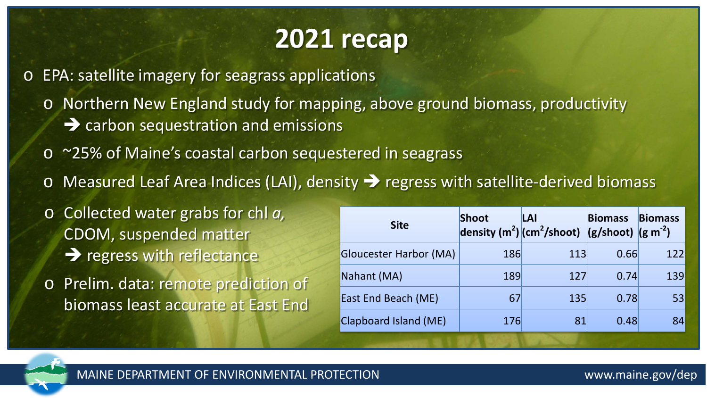## **2021 recap**

o EPA: satellite imagery for seagrass applications

o Northern New England study for mapping, above ground biomass, productivity  $\rightarrow$  carbon sequestration and emissions

- o ~25% of Maine's coastal carbon sequestered in seagrass
- $\circ$  Measured Leaf Area Indices (LAI), density  $\rightarrow$  regress with satellite-derived biomass

o Collected water grabs for chl *a,*  CDOM, suspended matter  $\rightarrow$  regress with reflectance

o Prelim. data: remote prediction of biomass least accurate at East End

| <b>Site</b>                   | Shoot | LAI<br>density $(m^2)(cm^2/shoot)$ (g/shoot) $(g m^{-2})$ | <b>Biomass</b> | <b>Biomass</b> |
|-------------------------------|-------|-----------------------------------------------------------|----------------|----------------|
| <b>Gloucester Harbor (MA)</b> | 186   | 113                                                       | 0.66           | 122            |
| Nahant (MA)                   | 189   | 127                                                       | 0.74           | 139            |
| East End Beach (ME)           | 67    | 135                                                       | 0.78           | 53             |
| Clapboard Island (ME)         | 176   | 81                                                        | 0.48           | 84             |

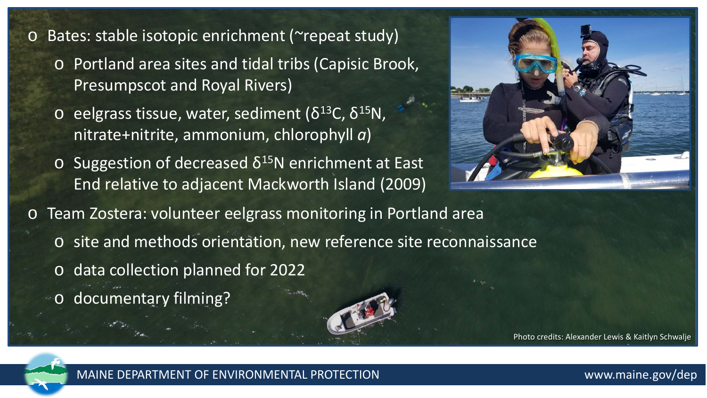## Bates: stable isotopic enrichment (~repeat study)

- o Portland area sites and tidal tribs (Capisic Brook, Presumpscot and Royal Rivers)
- $\overline{O}$  eelgrass tissue, water, sediment (δ<sup>13</sup>C, δ<sup>15</sup>N, nitrate+nitrite, ammonium, chlorophyll *a*)
- $\circ$  Suggestion of decreased δ<sup>15</sup>N enrichment at East End relative to adjacent Mackworth Island (2009)



Team Zostera: volunteer eelgrass monitoring in Portland area

- o site and methods orientation, new reference site reconnaissance
- o data collection planned for 2022
- o documentary filming?

Photo credits: Alexander Lewis & Kaitlyn Schwalje